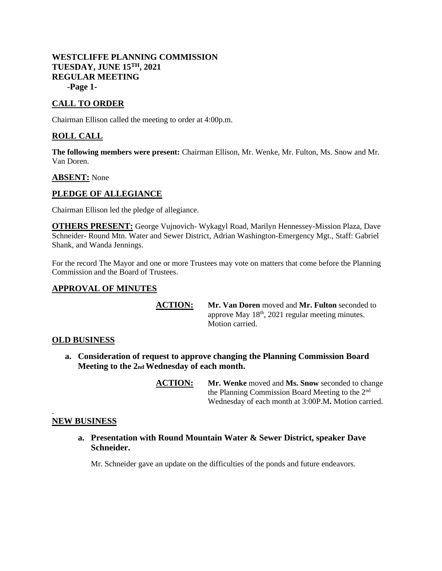### **WESTCLIFFE PLANNING COMMISSION TUESDAY, JUNE 15TH, 2021 REGULAR MEETING -Page 1-**

# **CALL TO ORDER**

Chairman Ellison called the meeting to order at 4:00p.m.

## **ROLL CALL**

**The following members were present:** Chairman Ellison, Mr. Wenke, Mr. Fulton, Ms. Snow and Mr. Van Doren.

#### **ABSENT:** None

### **PLEDGE OF ALLEGIANCE**

Chairman Ellison led the pledge of allegiance.

**OTHERS PRESENT:** George Vujnovich- Wykagyl Road, Marilyn Hennessey-Mission Plaza, Dave Schneider- Round Mtn. Water and Sewer District, Adrian Washington-Emergency Mgt., Staff: Gabriel Shank, and Wanda Jennings.

For the record The Mayor and one or more Trustees may vote on matters that come before the Planning Commission and the Board of Trustees.

### **APPROVAL OF MINUTES**

**ACTION: Mr. Van Doren** moved and **Mr. Fulton** seconded to approve May 18<sup>th</sup>, 2021 regular meeting minutes. Motion carried.

#### **OLD BUSINESS**

- **a. Consideration of request to approve changing the Planning Commission Board Meeting to the 2nd Wednesday of each month.**
	- **ACTION: Mr. Wenke** moved and **Ms. Snow** seconded to change the Planning Commission Board Meeting to the 2nd Wednesday of each month at 3:00P.M**.** Motion carried.

#### . **NEW BUSINESS**

**a. Presentation with Round Mountain Water & Sewer District, speaker Dave Schneider.**

Mr. Schneider gave an update on the difficulties of the ponds and future endeavors.